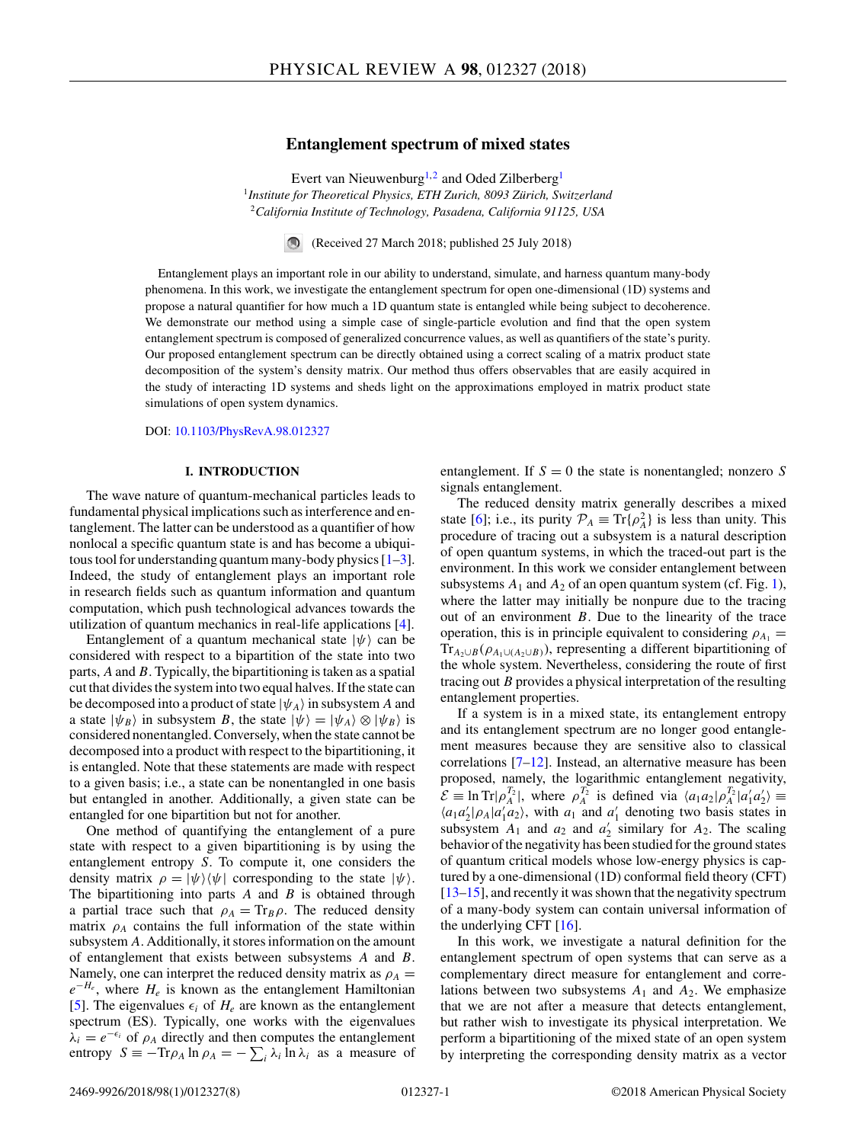# **Entanglement spectrum of mixed states**

Evert van Nieuwenburg<sup>1,2</sup> and Oded Zilberberg<sup>1</sup> <sup>1</sup>*Institute for Theoretical Physics, ETH Zurich, 8093 Zürich, Switzerland* <sup>2</sup>*California Institute of Technology, Pasadena, California 91125, USA*

> $\bigcirc$ (Received 27 March 2018; published 25 July 2018)

Entanglement plays an important role in our ability to understand, simulate, and harness quantum many-body phenomena. In this work, we investigate the entanglement spectrum for open one-dimensional (1D) systems and propose a natural quantifier for how much a 1D quantum state is entangled while being subject to decoherence. We demonstrate our method using a simple case of single-particle evolution and find that the open system entanglement spectrum is composed of generalized concurrence values, as well as quantifiers of the state's purity. Our proposed entanglement spectrum can be directly obtained using a correct scaling of a matrix product state decomposition of the system's density matrix. Our method thus offers observables that are easily acquired in the study of interacting 1D systems and sheds light on the approximations employed in matrix product state simulations of open system dynamics.

DOI: [10.1103/PhysRevA.98.012327](https://doi.org/10.1103/PhysRevA.98.012327)

### **I. INTRODUCTION**

The wave nature of quantum-mechanical particles leads to fundamental physical implications such as interference and entanglement. The latter can be understood as a quantifier of how nonlocal a specific quantum state is and has become a ubiquitous tool for understanding quantum many-body physics  $[1-3]$ . Indeed, the study of entanglement plays an important role in research fields such as quantum information and quantum computation, which push technological advances towards the utilization of quantum mechanics in real-life applications [\[4\]](#page-7-0).

Entanglement of a quantum mechanical state  $|\psi\rangle$  can be considered with respect to a bipartition of the state into two parts, *A* and *B*. Typically, the bipartitioning is taken as a spatial cut that divides the system into two equal halves. If the state can be decomposed into a product of state  $|\psi_A\rangle$  in subsystem A and a state  $|\psi_B\rangle$  in subsystem *B*, the state  $|\psi\rangle = |\psi_A\rangle \otimes |\psi_B\rangle$  is considered nonentangled. Conversely, when the state cannot be decomposed into a product with respect to the bipartitioning, it is entangled. Note that these statements are made with respect to a given basis; i.e., a state can be nonentangled in one basis but entangled in another. Additionally, a given state can be entangled for one bipartition but not for another.

One method of quantifying the entanglement of a pure state with respect to a given bipartitioning is by using the entanglement entropy *S*. To compute it, one considers the density matrix  $\rho = |\psi\rangle\langle\psi|$  corresponding to the state  $|\psi\rangle$ . The bipartitioning into parts *A* and *B* is obtained through a partial trace such that  $\rho_A = \text{Tr}_B \rho$ . The reduced density matrix  $\rho_A$  contains the full information of the state within subsystem *A*. Additionally, it stores information on the amount of entanglement that exists between subsystems *A* and *B*. Namely, one can interpret the reduced density matrix as  $\rho_A$  =  $e^{-H_e}$ , where  $H_e$  is known as the entanglement Hamiltonian [\[5\]](#page-7-0). The eigenvalues  $\epsilon_i$  of  $H_e$  are known as the entanglement spectrum (ES). Typically, one works with the eigenvalues  $\lambda_i = e^{-\epsilon_i}$  of  $\rho_A$  directly and then computes the entanglement entropy  $S \equiv -\text{Tr}\rho_A \ln \rho_A = -\sum_i \lambda_i \ln \lambda_i$  as a measure of

entanglement. If  $S = 0$  the state is nonentangled; nonzero S signals entanglement.

The reduced density matrix generally describes a mixed state [\[6\]](#page-7-0); i.e., its purity  $\mathcal{P}_A \equiv \text{Tr}\{\rho_A^2\}$  is less than unity. This procedure of tracing out a subsystem is a natural description of open quantum systems, in which the traced-out part is the environment. In this work we consider entanglement between subsystems  $A_1$  and  $A_2$  of an open quantum system (cf. Fig. [1\)](#page-1-0), where the latter may initially be nonpure due to the tracing out of an environment *B*. Due to the linearity of the trace operation, this is in principle equivalent to considering  $\rho_{A_1}$  =  $Tr_{A_2 \cup B}(\rho_{A_1 \cup (A_2 \cup B)})$ , representing a different bipartitioning of the whole system. Nevertheless, considering the route of first tracing out *B* provides a physical interpretation of the resulting entanglement properties.

If a system is in a mixed state, its entanglement entropy and its entanglement spectrum are no longer good entanglement measures because they are sensitive also to classical correlations [\[7–12\]](#page-7-0). Instead, an alternative measure has been proposed, namely, the logarithmic entanglement negativity,  $\mathcal{E} \equiv \ln \text{Tr} |\rho_A^{T_2}|$ , where  $\rho_A^{T_2}$  is defined via  $\langle a_1 a_2 | \rho_A^{T_2} | a'_1 a'_2 \rangle \equiv$  $\langle a_1 a_2' | \rho_A | a_1' a_2 \rangle$ , with  $a_1$  and  $a_1'$  denoting two basis states in subsystem  $A_1$  and  $a_2$  and  $a'_2$  similary for  $A_2$ . The scaling behavior of the negativity has been studied for the ground states of quantum critical models whose low-energy physics is captured by a one-dimensional (1D) conformal field theory (CFT) [\[13–15\]](#page-7-0), and recently it was shown that the negativity spectrum of a many-body system can contain universal information of the underlying CFT  $[16]$ .

In this work, we investigate a natural definition for the entanglement spectrum of open systems that can serve as a complementary direct measure for entanglement and correlations between two subsystems  $A_1$  and  $A_2$ . We emphasize that we are not after a measure that detects entanglement, but rather wish to investigate its physical interpretation. We perform a bipartitioning of the mixed state of an open system by interpreting the corresponding density matrix as a vector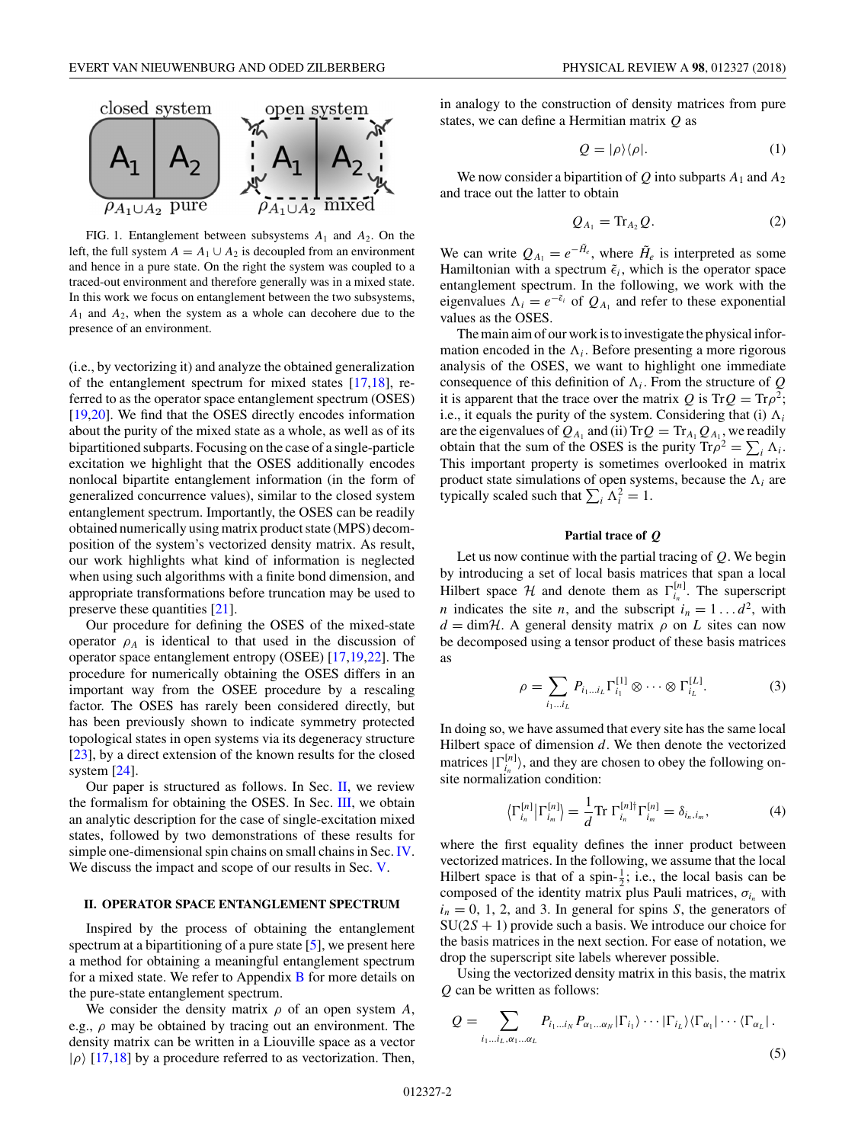<span id="page-1-0"></span>

FIG. 1. Entanglement between subsystems  $A_1$  and  $A_2$ . On the left, the full system  $A = A_1 \cup A_2$  is decoupled from an environment and hence in a pure state. On the right the system was coupled to a traced-out environment and therefore generally was in a mixed state. In this work we focus on entanglement between the two subsystems, *A*<sup>1</sup> and *A*2, when the system as a whole can decohere due to the presence of an environment.

(i.e., by vectorizing it) and analyze the obtained generalization of the entanglement spectrum for mixed states [\[17,18\]](#page-7-0), referred to as the operator space entanglement spectrum (OSES) [\[19,20\]](#page-7-0). We find that the OSES directly encodes information about the purity of the mixed state as a whole, as well as of its bipartitioned subparts. Focusing on the case of a single-particle excitation we highlight that the OSES additionally encodes nonlocal bipartite entanglement information (in the form of generalized concurrence values), similar to the closed system entanglement spectrum. Importantly, the OSES can be readily obtained numerically using matrix product state (MPS) decomposition of the system's vectorized density matrix. As result, our work highlights what kind of information is neglected when using such algorithms with a finite bond dimension, and appropriate transformations before truncation may be used to preserve these quantities [\[21\]](#page-7-0).

Our procedure for defining the OSES of the mixed-state operator  $\rho_A$  is identical to that used in the discussion of operator space entanglement entropy (OSEE) [\[17,19,22\]](#page-7-0). The procedure for numerically obtaining the OSES differs in an important way from the OSEE procedure by a rescaling factor. The OSES has rarely been considered directly, but has been previously shown to indicate symmetry protected topological states in open systems via its degeneracy structure [\[23\]](#page-7-0), by a direct extension of the known results for the closed system [\[24\]](#page-7-0).

Our paper is structured as follows. In Sec.  $II$ , we review the formalism for obtaining the OSES. In Sec. [III,](#page-2-0) we obtain an analytic description for the case of single-excitation mixed states, followed by two demonstrations of these results for simple one-dimensional spin chains on small chains in Sec. [IV.](#page-3-0) We discuss the impact and scope of our results in Sec. [V.](#page-5-0)

## **II. OPERATOR SPACE ENTANGLEMENT SPECTRUM**

Inspired by the process of obtaining the entanglement spectrum at a bipartitioning of a pure state [\[5\]](#page-7-0), we present here a method for obtaining a meaningful entanglement spectrum for a mixed state. We refer to Appendix  $\bf{B}$  $\bf{B}$  $\bf{B}$  for more details on the pure-state entanglement spectrum.

We consider the density matrix *ρ* of an open system *A*, e.g., *ρ* may be obtained by tracing out an environment. The density matrix can be written in a Liouville space as a vector  $|\rho\rangle$  [\[17,18\]](#page-7-0) by a procedure referred to as vectorization. Then,

in analogy to the construction of density matrices from pure states, we can define a Hermitian matrix *Q* as

$$
Q = |\rho\rangle\langle\rho|.\tag{1}
$$

We now consider a bipartition of  $Q$  into subparts  $A_1$  and  $A_2$ and trace out the latter to obtain

$$
Q_{A_1} = \text{Tr}_{A_2} Q. \tag{2}
$$

We can write  $Q_{A_1} = e^{-H_e}$ , where  $\tilde{H}_e$  is interpreted as some Hamiltonian with a spectrum  $\tilde{\epsilon}_i$ , which is the operator space entanglement spectrum. In the following, we work with the eigenvalues  $\Lambda_i = e^{-\tilde{\epsilon}_i}$  of  $Q_{A_1}$  and refer to these exponential values as the OSES.

The main aim of our work is to investigate the physical information encoded in the  $\Lambda_i$ . Before presenting a more rigorous analysis of the OSES, we want to highlight one immediate consequence of this definition of  $\Lambda_i$ . From the structure of  $Q$ it is apparent that the trace over the matrix  $Q$  is  $TrQ = Tr\rho^2$ ; i.e., it equals the purity of the system. Considering that (i)  $\Lambda_i$ are the eigenvalues of  $Q_{A_1}$  and (ii) Tr $Q = Tr_{A_1} Q_{A_1}$ , we readily obtain that the sum of the OSES is the purity  $\text{Tr}\rho^2 = \sum_i \Lambda_i$ . This important property is sometimes overlooked in matrix product state simulations of open systems, because the  $\Lambda_i$  are typically scaled such that  $\sum_i \Lambda_i^2 = 1$ .

## **Partial trace of** *Q*

Let us now continue with the partial tracing of *Q*. We begin by introducing a set of local basis matrices that span a local Hilbert space  $H$  and denote them as  $\Gamma_{i_n}^{[n]}$ . The superscript *n* indicates the site *n*, and the subscript  $i_n = 1...d^2$ , with  $d = \text{dim}\mathcal{H}$ . A general density matrix  $\rho$  on *L* sites can now be decomposed using a tensor product of these basis matrices as

$$
\rho = \sum_{i_1 \dots i_L} P_{i_1 \dots i_L} \Gamma_{i_1}^{[1]} \otimes \dots \otimes \Gamma_{i_L}^{[L]}.
$$
 (3)

In doing so, we have assumed that every site has the same local Hilbert space of dimension *d*. We then denote the vectorized matrices  $|\Gamma_{i_n}^{[n]}\rangle$ , and they are chosen to obey the following onsite normalization condition:

$$
\left\langle \Gamma_{i_n}^{[n]} \right| \Gamma_{i_m}^{[n]} \left\rangle = \frac{1}{d} \text{Tr } \Gamma_{i_n}^{[n] \dagger} \Gamma_{i_m}^{[n]} = \delta_{i_n, i_m}, \tag{4}
$$

where the first equality defines the inner product between vectorized matrices. In the following, we assume that the local Hilbert space is that of a spin- $\frac{1}{2}$ ; i.e., the local basis can be composed of the identity matrix plus Pauli matrices,  $\sigma_{i_n}$  with  $i_n = 0, 1, 2,$  and 3. In general for spins *S*, the generators of SU(2*S* + 1) provide such a basis. We introduce our choice for the basis matrices in the next section. For ease of notation, we drop the superscript site labels wherever possible.

Using the vectorized density matrix in this basis, the matrix *Q* can be written as follows:

$$
Q = \sum_{i_1 \dots i_L, \alpha_1 \dots \alpha_L} P_{i_1 \dots i_N} P_{\alpha_1 \dots \alpha_N} |\Gamma_{i_1} \rangle \cdots |\Gamma_{i_L} \rangle \langle \Gamma_{\alpha_1} | \cdots \langle \Gamma_{\alpha_L} |.
$$
\n(5)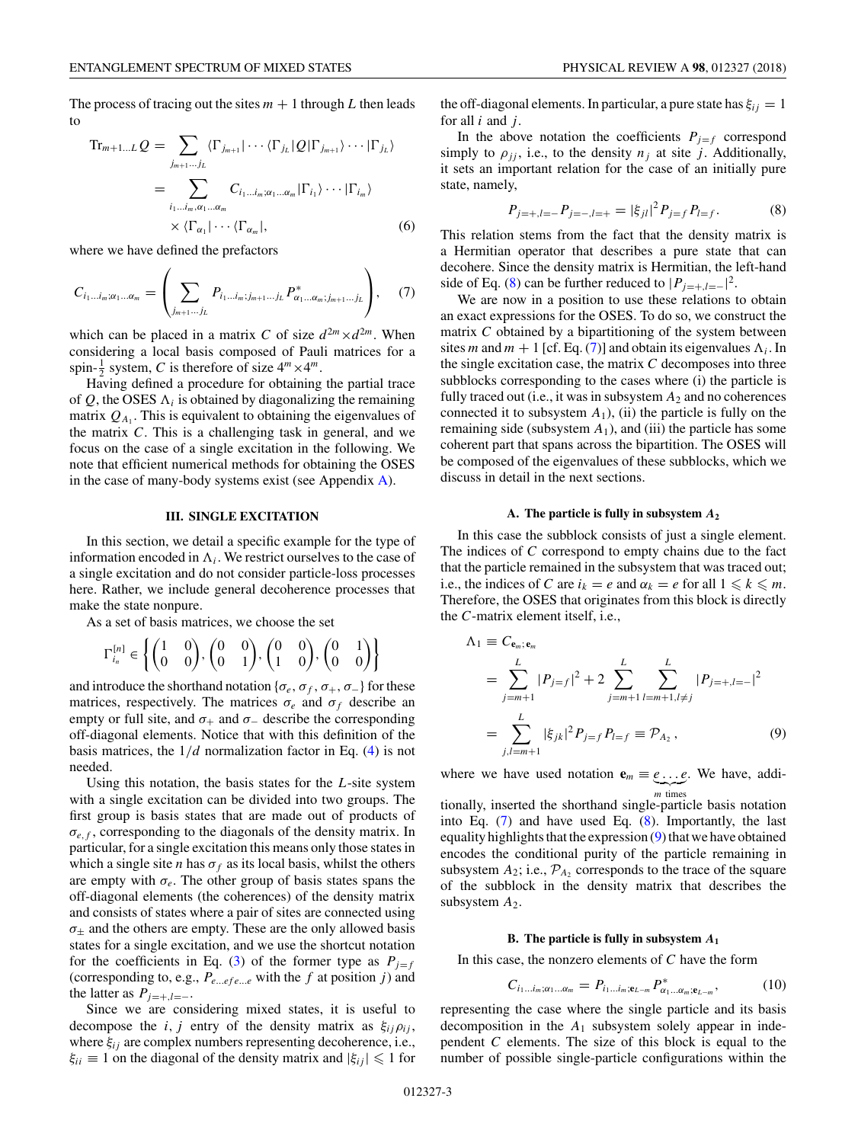<span id="page-2-0"></span>The process of tracing out the sites  $m + 1$  through L then leads to

$$
\mathrm{Tr}_{m+1...L} Q = \sum_{j_{m+1}...j_L} \langle \Gamma_{j_{m+1}} | \cdots \langle \Gamma_{j_L} | Q | \Gamma_{j_{m+1}} \rangle \cdots | \Gamma_{j_L} \rangle
$$
  
= 
$$
\sum_{i_1...i_m, \alpha_1... \alpha_m} C_{i_1...i_m; \alpha_1... \alpha_m} |\Gamma_{i_1} \rangle \cdots |\Gamma_{i_m} \rangle
$$
  

$$
\times \langle \Gamma_{\alpha_1} | \cdots \langle \Gamma_{\alpha_m} |,
$$
 (6)

where we have defined the prefactors

$$
C_{i_1...i_m;\alpha_1...\alpha_m} = \left( \sum_{j_{m+1}...j_L} P_{i_1...i_m;j_{m+1}...j_L} P_{\alpha_1...\alpha_m;j_{m+1}...j_L}^* \right), \quad (7)
$$

which can be placed in a matrix *C* of size  $d^{2m} \times d^{2m}$ . When considering a local basis composed of Pauli matrices for a spin- $\frac{1}{2}$  system, *C* is therefore of size  $4^m \times 4^m$ .

Having defined a procedure for obtaining the partial trace of  $Q$ , the OSES  $\Lambda_i$  is obtained by diagonalizing the remaining matrix  $Q_{A_1}$ . This is equivalent to obtaining the eigenvalues of the matrix *C*. This is a challenging task in general, and we focus on the case of a single excitation in the following. We note that efficient numerical methods for obtaining the OSES in the case of many-body systems exist (see Appendix [A\)](#page-6-0).

### **III. SINGLE EXCITATION**

In this section, we detail a specific example for the type of information encoded in  $\Lambda_i$ . We restrict ourselves to the case of a single excitation and do not consider particle-loss processes here. Rather, we include general decoherence processes that make the state nonpure.

As a set of basis matrices, we choose the set

$$
\Gamma_{i_n}^{[n]} \in \left\{ \begin{pmatrix} 1 & 0 \\ 0 & 0 \end{pmatrix}, \begin{pmatrix} 0 & 0 \\ 0 & 1 \end{pmatrix}, \begin{pmatrix} 0 & 0 \\ 1 & 0 \end{pmatrix}, \begin{pmatrix} 0 & 1 \\ 0 & 0 \end{pmatrix} \right\}
$$

and introduce the shorthand notation { $\sigma_e$ ,  $\sigma_f$ ,  $\sigma_+$ ,  $\sigma_-$ } for these matrices, respectively. The matrices  $\sigma_e$  and  $\sigma_f$  describe an empty or full site, and  $\sigma_+$  and  $\sigma_-$  describe the corresponding off-diagonal elements. Notice that with this definition of the basis matrices, the 1*/d* normalization factor in Eq. [\(4\)](#page-1-0) is not needed.

Using this notation, the basis states for the *L*-site system with a single excitation can be divided into two groups. The first group is basis states that are made out of products of  $\sigma_{e,f}$ , corresponding to the diagonals of the density matrix. In particular, for a single excitation this means only those states in which a single site *n* has  $\sigma_f$  as its local basis, whilst the others are empty with  $\sigma_e$ . The other group of basis states spans the off-diagonal elements (the coherences) of the density matrix and consists of states where a pair of sites are connected using  $\sigma_{+}$  and the others are empty. These are the only allowed basis states for a single excitation, and we use the shortcut notation for the coefficients in Eq. [\(3\)](#page-1-0) of the former type as  $P_{i=f}$ (corresponding to, e.g., *Pe...ef e...e* with the *f* at position *j* ) and the latter as  $P_{i=+1}$ <sub>=−</sub>.

Since we are considering mixed states, it is useful to decompose the *i*, *j* entry of the density matrix as  $\xi_{ij}\rho_{ij}$ , where  $\xi_{ij}$  are complex numbers representing decoherence, i.e.,  $\xi_{ii} \equiv 1$  on the diagonal of the density matrix and  $|\xi_{ij}| \leq 1$  for

the off-diagonal elements. In particular, a pure state has  $\xi_{ij} = 1$ for all *i* and *j* .

In the above notation the coefficients  $P_{i=f}$  correspond simply to  $\rho_{jj}$ , i.e., to the density  $n_j$  at site *j*. Additionally, it sets an important relation for the case of an initially pure state, namely,

$$
P_{j=+,l=-}P_{j=-,l=+} = |\xi_{jl}|^2 P_{j=f} P_{l=f}.
$$
 (8)

This relation stems from the fact that the density matrix is a Hermitian operator that describes a pure state that can decohere. Since the density matrix is Hermitian, the left-hand side of Eq. (8) can be further reduced to  $|P_{j=+1}=|^{2}$ .

We are now in a position to use these relations to obtain an exact expressions for the OSES. To do so, we construct the matrix *C* obtained by a bipartitioning of the system between sites *m* and  $m + 1$  [cf. Eq. (7)] and obtain its eigenvalues  $\Lambda_i$ . In the single excitation case, the matrix *C* decomposes into three subblocks corresponding to the cases where (i) the particle is fully traced out (i.e., it was in subsystem *A*<sup>2</sup> and no coherences connected it to subsystem  $A_1$ ), (ii) the particle is fully on the remaining side (subsystem  $A_1$ ), and (iii) the particle has some coherent part that spans across the bipartition. The OSES will be composed of the eigenvalues of these subblocks, which we discuss in detail in the next sections.

### **A. The particle is fully in subsystem** *A***<sup>2</sup>**

In this case the subblock consists of just a single element. The indices of *C* correspond to empty chains due to the fact that the particle remained in the subsystem that was traced out; i.e., the indices of *C* are  $i_k = e$  and  $\alpha_k = e$  for all  $1 \leq k \leq m$ . Therefore, the OSES that originates from this block is directly the *C*-matrix element itself, i.e.,

$$
\Lambda_1 \equiv C_{\mathbf{e}_m; \mathbf{e}_m}
$$
\n
$$
= \sum_{j=m+1}^{L} |P_{j=f}|^2 + 2 \sum_{j=m+1}^{L} \sum_{l=m+1, l \neq j}^{L} |P_{j=+,l=-}|^2
$$
\n
$$
= \sum_{j,l=m+1}^{L} |\xi_{jk}|^2 P_{j=f} P_{l=f} \equiv \mathcal{P}_{A_2}, \qquad (9)
$$

where we have used notation  $\mathbf{e}_m \equiv e \dots e$ . We have, addi-*<sup>m</sup>* times

tionally, inserted the shorthand single-particle basis notation into Eq. (7) and have used Eq. (8). Importantly, the last equality highlights that the expression (9) that we have obtained encodes the conditional purity of the particle remaining in subsystem  $A_2$ ; i.e.,  $P_{A_2}$  corresponds to the trace of the square of the subblock in the density matrix that describes the subsystem  $A_2$ .

### **B. The particle is fully in subsystem** *A***<sup>1</sup>**

In this case, the nonzero elements of *C* have the form

$$
C_{i_1...i_m;\alpha_1...\alpha_m} = P_{i_1...i_m;\mathbf{e}_{L-m}} P_{\alpha_1...\alpha_m;\mathbf{e}_{L-m}}^*,
$$
 (10)

representing the case where the single particle and its basis decomposition in the  $A_1$  subsystem solely appear in independent *C* elements. The size of this block is equal to the number of possible single-particle configurations within the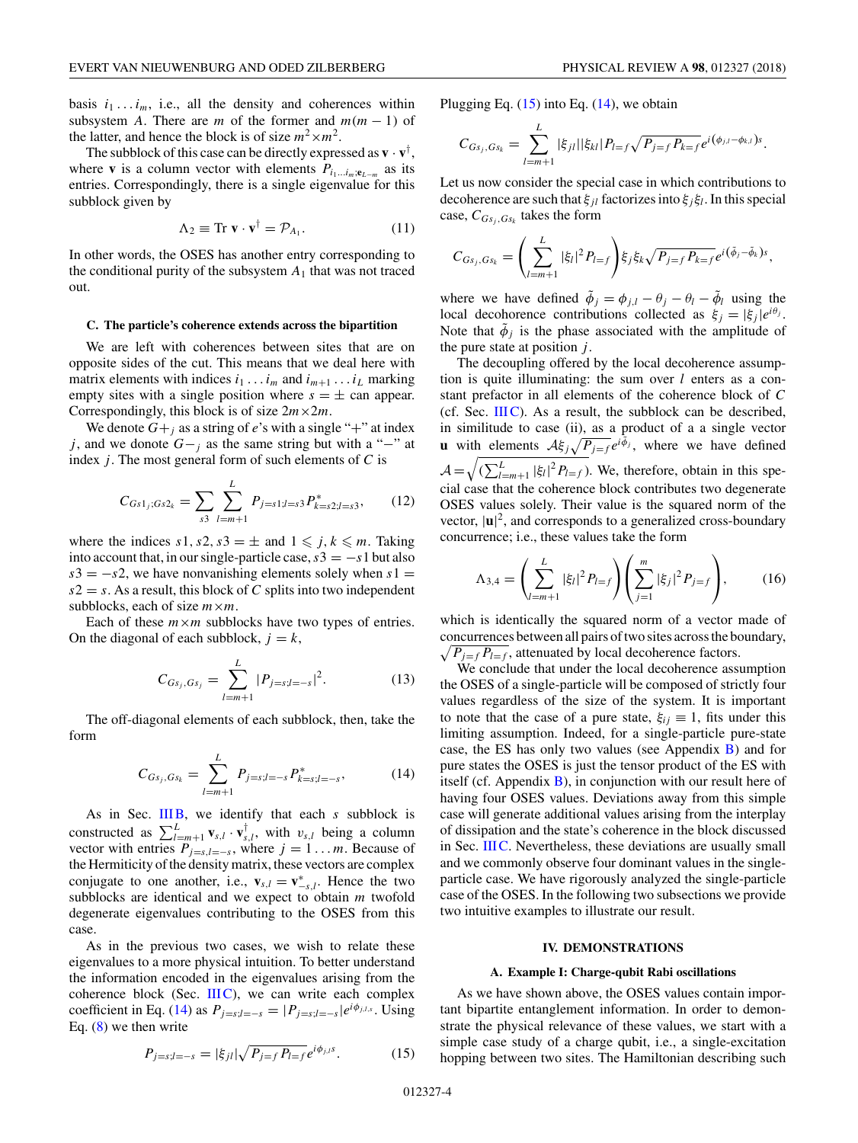<span id="page-3-0"></span>basis  $i_1 \ldots i_m$ , i.e., all the density and coherences within subsystem *A*. There are *m* of the former and  $m(m - 1)$  of the latter, and hence the block is of size  $m^2 \times m^2$ .

The subblock of this case can be directly expressed as  $\mathbf{v} \cdot \mathbf{v}^{\dagger}$ , where **v** is a column vector with elements  $P_{i_1...i_m;\mathbf{e}_{L-m}}$  as its entries. Correspondingly, there is a single eigenvalue for this subblock given by

$$
\Lambda_2 \equiv \text{Tr } \mathbf{v} \cdot \mathbf{v}^\dagger = \mathcal{P}_{A_1}.
$$
 (11)

In other words, the OSES has another entry corresponding to the conditional purity of the subsystem  $A_1$  that was not traced out.

#### **C. The particle's coherence extends across the bipartition**

We are left with coherences between sites that are on opposite sides of the cut. This means that we deal here with matrix elements with indices  $i_1 \ldots i_m$  and  $i_{m+1} \ldots i_L$  marking empty sites with a single position where  $s = \pm$  can appear. Correspondingly, this block is of size  $2m \times 2m$ .

We denote  $G+_{i}$  as a string of *e*'s with a single "+" at index *j*, and we donote  $G-$ *j* as the same string but with a "−" at index *j* . The most general form of such elements of *C* is

$$
C_{Gs1_j;Gs2_k} = \sum_{s3} \sum_{l=m+1}^{L} P_{j=s1;l=s3} P_{k=s2;l=s3}^*,
$$
 (12)

where the indices  $s1, s2, s3 = \pm$  and  $1 \leq j, k \leq m$ . Taking into account that, in our single-particle case,  $s3 = -s1$  but also  $s3 = -s2$ , we have nonvanishing elements solely when  $s1 =$  $s2 = s$ . As a result, this block of *C* splits into two independent subblocks, each of size *m*×*m*.

Each of these  $m \times m$  subblocks have two types of entries. On the diagonal of each subblock,  $j = k$ ,

$$
C_{G_{s_j}, G_{s_j}} = \sum_{l=m+1}^{L} |P_{j=s;l=-s}|^2.
$$
 (13)

The off-diagonal elements of each subblock, then, take the form

$$
C_{Gs_j, Gs_k} = \sum_{l=m+1}^{L} P_{j=s;l=-s} P_{k=s;l=-s}^*,
$$
 (14)

As in Sec. [IIIB,](#page-2-0) we identify that each *s* subblock is constructed as  $\sum_{l=m+1}^{L} \mathbf{v}_{s,l} \cdot \mathbf{v}_{s,l}^{\dagger}$ , with  $v_{s,l}$  being a column vector with entries  $P_{j=s,l=-s}$ , where  $j=1...m$ . Because of the Hermiticity of the density matrix, these vectors are complex conjugate to one another, i.e.,  $\mathbf{v}_{s,l} = \mathbf{v}_{-s,l}^*$ . Hence the two subblocks are identical and we expect to obtain *m* twofold degenerate eigenvalues contributing to the OSES from this case.

As in the previous two cases, we wish to relate these eigenvalues to a more physical intuition. To better understand the information encoded in the eigenvalues arising from the coherence block (Sec.  $IIIC$ ), we can write each complex coefficient in Eq. (14) as  $P_{j=s; l=-s} = |P_{j=s; l=-s}|e^{i\phi_{j,l,s}}$ . Using Eq.  $(8)$  we then write

$$
P_{j=s;l=-s} = |\xi_{jl}| \sqrt{P_{j=f} P_{l=f}} e^{i\phi_{j,l}s}.
$$
 (15)

Plugging Eq.  $(15)$  into Eq.  $(14)$ , we obtain

$$
C_{G_{s_j},G_{s_k}}=\sum_{l=m+1}^L |\xi_{jl}||\xi_{kl}|P_{l=f}\sqrt{P_{j=f}P_{k=f}}e^{i(\phi_{j,l}-\phi_{k,l})s}.
$$

Let us now consider the special case in which contributions to decoherence are such that *ξjl* factorizes into *ξj ξl*. In this special case,  $C_{Gs_i, G_{S_k}}$  takes the form

$$
C_{Gs_j, G_{S_k}} = \left(\sum_{l=m+1}^{L} |\xi_l|^2 P_{l=f}\right) \xi_j \xi_k \sqrt{P_{j=f} P_{k=f}} e^{i(\tilde{\phi}_j - \tilde{\phi}_k)s},
$$

where we have defined  $\tilde{\phi}_i = \phi_{i,l} - \theta_i - \tilde{\phi}_l$  using the local decohorence contributions collected as  $\xi_i = |\xi_i|e^{i\theta_j}$ . Note that  $\tilde{\phi}_i$  is the phase associated with the amplitude of the pure state at position *j* .

The decoupling offered by the local decoherence assumption is quite illuminating: the sum over *l* enters as a constant prefactor in all elements of the coherence block of *C* (cf. Sec.  $IIIC$ ). As a result, the subblock can be described, in similitude to case (ii), as a product of a a single vector **u** with elements  $A\xi_j \sqrt{P_{j=f}} e^{i\phi_j}$ , where we have defined  $\mathcal{A} = \sqrt{\left(\sum_{l=m+1}^{L} |\xi_l|^2 P_{l=f}\right)}$ . We, therefore, obtain in this special case that the coherence block contributes two degenerate OSES values solely. Their value is the squared norm of the vector,  $|\mathbf{u}|^2$ , and corresponds to a generalized cross-boundary concurrence; i.e., these values take the form

$$
\Lambda_{3,4} = \left(\sum_{l=m+1}^{L} |\xi_l|^2 P_{l=f}\right) \left(\sum_{j=1}^{m} |\xi_j|^2 P_{j=f}\right),\tag{16}
$$

which is identically the squared norm of a vector made of concurrences between all pairs of two sites across the boundary,  $\sqrt{P_{j=f} P_{l=f}}$ , attenuated by local decoherence factors.

We conclude that under the local decoherence assumption the OSES of a single-particle will be composed of strictly four values regardless of the size of the system. It is important to note that the case of a pure state,  $\xi_{ii} \equiv 1$ , fits under this limiting assumption. Indeed, for a single-particle pure-state case, the ES has only two values (see Appendix [B\)](#page-6-0) and for pure states the OSES is just the tensor product of the ES with itself (cf. Appendix  $B$ ), in conjunction with our result here of having four OSES values. Deviations away from this simple case will generate additional values arising from the interplay of dissipation and the state's coherence in the block discussed in Sec. IIIC. Nevertheless, these deviations are usually small and we commonly observe four dominant values in the singleparticle case. We have rigorously analyzed the single-particle case of the OSES. In the following two subsections we provide two intuitive examples to illustrate our result.

#### **IV. DEMONSTRATIONS**

#### **A. Example I: Charge-qubit Rabi oscillations**

As we have shown above, the OSES values contain important bipartite entanglement information. In order to demonstrate the physical relevance of these values, we start with a simple case study of a charge qubit, i.e., a single-excitation hopping between two sites. The Hamiltonian describing such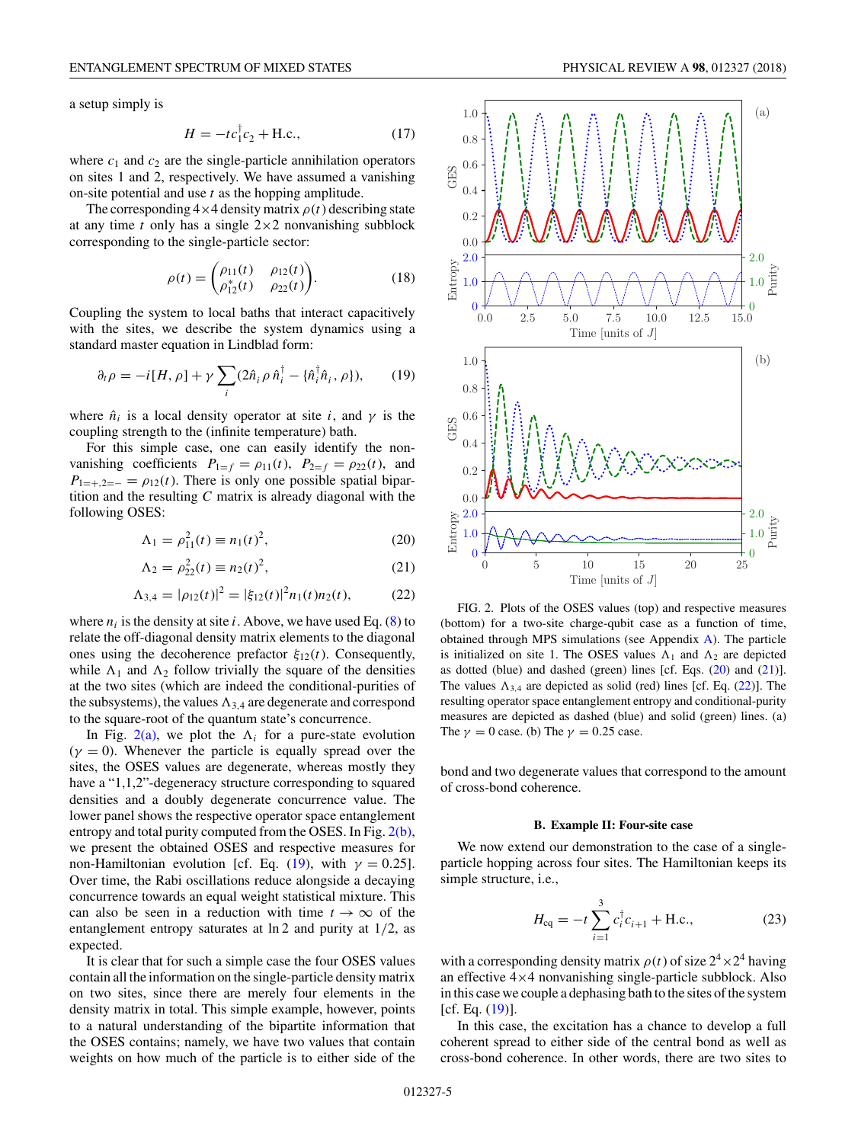a setup simply is

$$
H = -tc_1^{\dagger}c_2 + \text{H.c.},\tag{17}
$$

where  $c_1$  and  $c_2$  are the single-particle annihilation operators on sites 1 and 2, respectively. We have assumed a vanishing on-site potential and use *t* as the hopping amplitude.

The corresponding  $4 \times 4$  density matrix  $\rho(t)$  describing state at any time  $t$  only has a single  $2 \times 2$  nonvanishing subblock corresponding to the single-particle sector:

$$
\rho(t) = \begin{pmatrix} \rho_{11}(t) & \rho_{12}(t) \\ \rho_{12}^*(t) & \rho_{22}(t) \end{pmatrix} . \tag{18}
$$

Coupling the system to local baths that interact capacitively with the sites, we describe the system dynamics using a standard master equation in Lindblad form:

$$
\partial_t \rho = -i[H, \rho] + \gamma \sum_i (2\hat{n}_i \rho \hat{n}_i^\dagger - {\{\hat{n}_i^\dagger \hat{n}_i, \rho\}}), \qquad (19)
$$

where  $\hat{n}_i$  is a local density operator at site *i*, and  $\gamma$  is the coupling strength to the (infinite temperature) bath.

For this simple case, one can easily identify the nonvanishing coefficients  $P_{1=f} = \rho_{11}(t)$ ,  $P_{2=f} = \rho_{22}(t)$ , and  $P_{1=+2=-} = \rho_{12}(t)$ . There is only one possible spatial bipartition and the resulting *C* matrix is already diagonal with the following OSES:

$$
\Lambda_1 = \rho_{11}^2(t) \equiv n_1(t)^2,
$$
\n(20)

$$
\Lambda_2 = \rho_{22}^2(t) \equiv n_2(t)^2,
$$
\n(21)

$$
\Lambda_{3,4} = |\rho_{12}(t)|^2 = |\xi_{12}(t)|^2 n_1(t) n_2(t), \tag{22}
$$

where  $n_i$  is the density at site *i*. Above, we have used Eq. [\(8\)](#page-2-0) to relate the off-diagonal density matrix elements to the diagonal ones using the decoherence prefactor  $\xi_{12}(t)$ . Consequently, while  $\Lambda_1$  and  $\Lambda_2$  follow trivially the square of the densities at the two sites (which are indeed the conditional-purities of the subsystems), the values  $\Lambda_{3,4}$  are degenerate and correspond to the square-root of the quantum state's concurrence.

In Fig.  $2(a)$ , we plot the  $\Lambda_i$  for a pure-state evolution  $(\gamma = 0)$ . Whenever the particle is equally spread over the sites, the OSES values are degenerate, whereas mostly they have a "1,1,2"-degeneracy structure corresponding to squared densities and a doubly degenerate concurrence value. The lower panel shows the respective operator space entanglement entropy and total purity computed from the OSES. In Fig. 2(b), we present the obtained OSES and respective measures for non-Hamiltonian evolution [cf. Eq. (19), with  $\gamma = 0.25$ ]. Over time, the Rabi oscillations reduce alongside a decaying concurrence towards an equal weight statistical mixture. This can also be seen in a reduction with time  $t \to \infty$  of the entanglement entropy saturates at ln 2 and purity at 1*/*2, as expected.

It is clear that for such a simple case the four OSES values contain all the information on the single-particle density matrix on two sites, since there are merely four elements in the density matrix in total. This simple example, however, points to a natural understanding of the bipartite information that the OSES contains; namely, we have two values that contain weights on how much of the particle is to either side of the





FIG. 2. Plots of the OSES values (top) and respective measures (bottom) for a two-site charge-qubit case as a function of time, obtained through MPS simulations (see Appendix [A\)](#page-6-0). The particle is initialized on site 1. The OSES values  $\Lambda_1$  and  $\Lambda_2$  are depicted as dotted (blue) and dashed (green) lines [cf. Eqs. (20) and (21)]. The values  $\Lambda_{3,4}$  are depicted as solid (red) lines [cf. Eq. (22)]. The resulting operator space entanglement entropy and conditional-purity measures are depicted as dashed (blue) and solid (green) lines. (a) The  $\gamma = 0$  case. (b) The  $\gamma = 0.25$  case.

bond and two degenerate values that correspond to the amount of cross-bond coherence.

#### **B. Example II: Four-site case**

We now extend our demonstration to the case of a singleparticle hopping across four sites. The Hamiltonian keeps its simple structure, i.e.,

$$
H_{\rm eq} = -t \sum_{i=1}^{3} c_i^{\dagger} c_{i+1} + \text{H.c.}, \qquad (23)
$$

with a corresponding density matrix  $\rho(t)$  of size  $2^4 \times 2^4$  having an effective 4×4 nonvanishing single-particle subblock. Also in this case we couple a dephasing bath to the sites of the system  $[cf. Eq. (19)].$ 

In this case, the excitation has a chance to develop a full coherent spread to either side of the central bond as well as cross-bond coherence. In other words, there are two sites to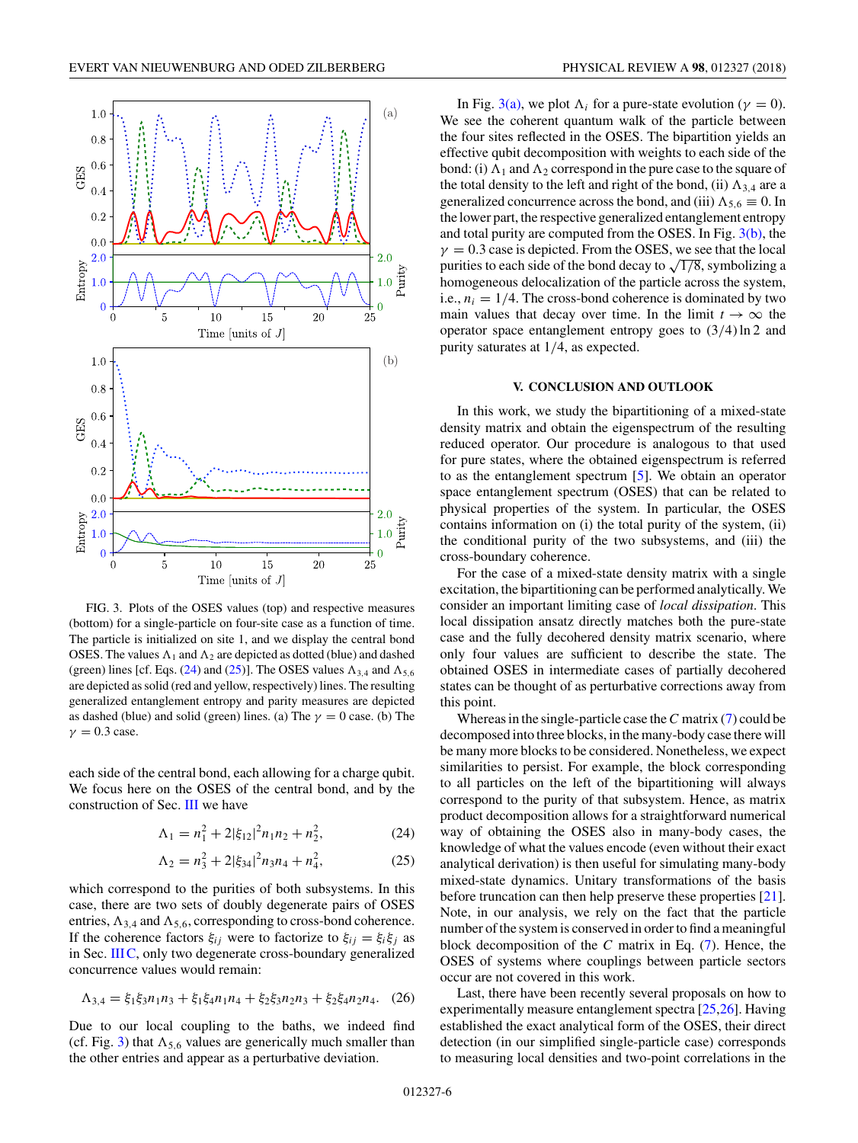<span id="page-5-0"></span>

FIG. 3. Plots of the OSES values (top) and respective measures (bottom) for a single-particle on four-site case as a function of time. The particle is initialized on site 1, and we display the central bond OSES. The values  $\Lambda_1$  and  $\Lambda_2$  are depicted as dotted (blue) and dashed (green) lines [cf. Eqs. (24) and (25)]. The OSES values  $\Lambda_{3,4}$  and  $\Lambda_{5,6}$ are depicted as solid (red and yellow, respectively) lines. The resulting generalized entanglement entropy and parity measures are depicted as dashed (blue) and solid (green) lines. (a) The  $\gamma = 0$  case. (b) The  $\gamma = 0.3$  case.

each side of the central bond, each allowing for a charge qubit. We focus here on the OSES of the central bond, and by the construction of Sec. [III](#page-2-0) we have

$$
\Lambda_1 = n_1^2 + 2|\xi_{12}|^2 n_1 n_2 + n_2^2,\tag{24}
$$

$$
\Lambda_2 = n_3^2 + 2|\xi_{34}|^2 n_3 n_4 + n_4^2,\tag{25}
$$

which correspond to the purities of both subsystems. In this case, there are two sets of doubly degenerate pairs of OSES entries,  $\Lambda_{3,4}$  and  $\Lambda_{5,6}$ , corresponding to cross-bond coherence. If the coherence factors  $\xi_{ij}$  were to factorize to  $\xi_{ij} = \xi_i \xi_j$  as in Sec. [IIIC,](#page-3-0) only two degenerate cross-boundary generalized concurrence values would remain:

$$
\Lambda_{3,4} = \xi_1 \xi_3 n_1 n_3 + \xi_1 \xi_4 n_1 n_4 + \xi_2 \xi_3 n_2 n_3 + \xi_2 \xi_4 n_2 n_4. \tag{26}
$$

Due to our local coupling to the baths, we indeed find (cf. Fig. 3) that  $\Lambda_{5,6}$  values are generically much smaller than the other entries and appear as a perturbative deviation.

In Fig. 3(a), we plot  $\Lambda_i$  for a pure-state evolution ( $\gamma = 0$ ). We see the coherent quantum walk of the particle between the four sites reflected in the OSES. The bipartition yields an effective qubit decomposition with weights to each side of the bond: (i)  $\Lambda_1$  and  $\Lambda_2$  correspond in the pure case to the square of the total density to the left and right of the bond, (ii)  $\Lambda_{3,4}$  are a generalized concurrence across the bond, and (iii)  $\Lambda_{5,6} \equiv 0$ . In the lower part, the respective generalized entanglement entropy and total purity are computed from the OSES. In Fig.  $3(b)$ , the  $\gamma = 0.3$  case is depicted. From the OSES, we see that the local purities to each side of the bond decay to  $\sqrt{1/8}$ , symbolizing a homogeneous delocalization of the particle across the system, i.e.,  $n_i = 1/4$ . The cross-bond coherence is dominated by two main values that decay over time. In the limit  $t \to \infty$  the operator space entanglement entropy goes to (3*/*4) ln 2 and purity saturates at 1*/*4, as expected.

## **V. CONCLUSION AND OUTLOOK**

In this work, we study the bipartitioning of a mixed-state density matrix and obtain the eigenspectrum of the resulting reduced operator. Our procedure is analogous to that used for pure states, where the obtained eigenspectrum is referred to as the entanglement spectrum [\[5\]](#page-7-0). We obtain an operator space entanglement spectrum (OSES) that can be related to physical properties of the system. In particular, the OSES contains information on (i) the total purity of the system, (ii) the conditional purity of the two subsystems, and (iii) the cross-boundary coherence.

For the case of a mixed-state density matrix with a single excitation, the bipartitioning can be performed analytically. We consider an important limiting case of *local dissipation*. This local dissipation ansatz directly matches both the pure-state case and the fully decohered density matrix scenario, where only four values are sufficient to describe the state. The obtained OSES in intermediate cases of partially decohered states can be thought of as perturbative corrections away from this point.

Whereas in the single-particle case the*C* matrix [\(7\)](#page-2-0) could be decomposed into three blocks, in the many-body case there will be many more blocks to be considered. Nonetheless, we expect similarities to persist. For example, the block corresponding to all particles on the left of the bipartitioning will always correspond to the purity of that subsystem. Hence, as matrix product decomposition allows for a straightforward numerical way of obtaining the OSES also in many-body cases, the knowledge of what the values encode (even without their exact analytical derivation) is then useful for simulating many-body mixed-state dynamics. Unitary transformations of the basis before truncation can then help preserve these properties [\[21\]](#page-7-0). Note, in our analysis, we rely on the fact that the particle number of the system is conserved in order to find a meaningful block decomposition of the *C* matrix in Eq. [\(7\)](#page-2-0). Hence, the OSES of systems where couplings between particle sectors occur are not covered in this work.

Last, there have been recently several proposals on how to experimentally measure entanglement spectra [\[25,26\]](#page-7-0). Having established the exact analytical form of the OSES, their direct detection (in our simplified single-particle case) corresponds to measuring local densities and two-point correlations in the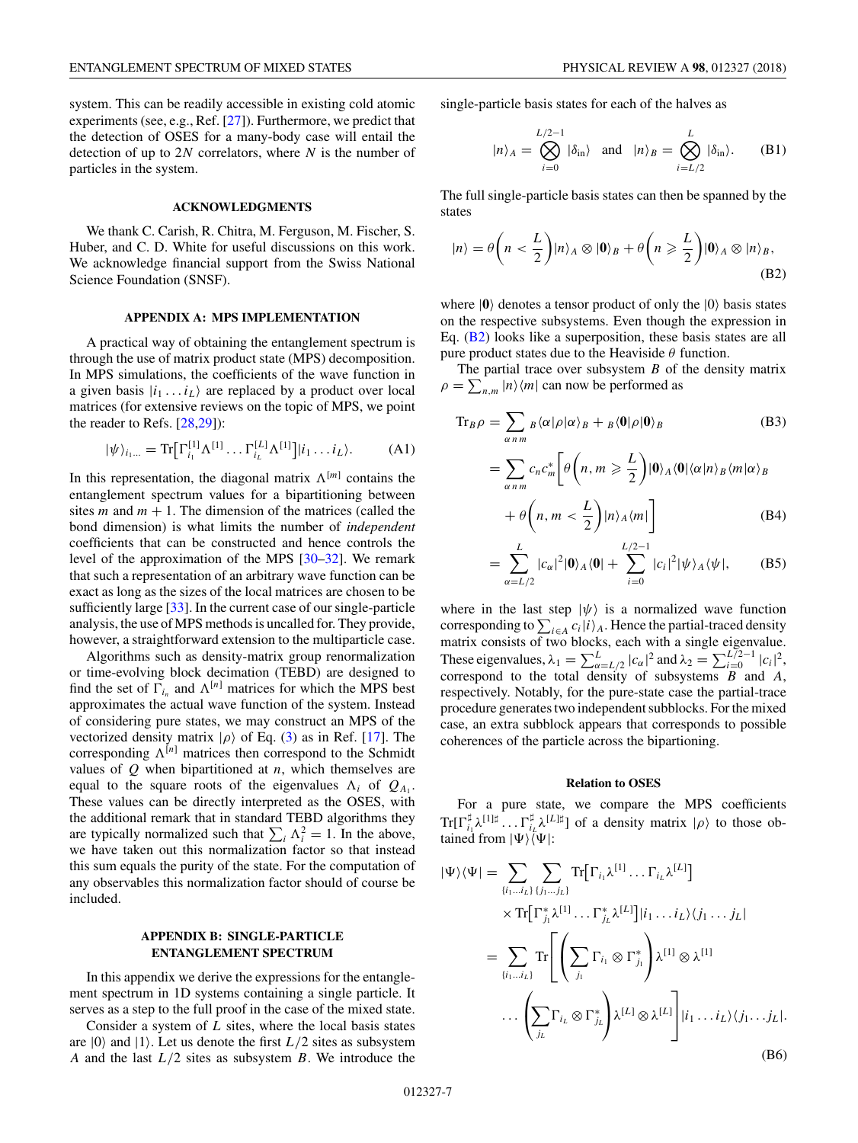<span id="page-6-0"></span>system. This can be readily accessible in existing cold atomic experiments (see, e.g., Ref. [\[27\]](#page-7-0)). Furthermore, we predict that the detection of OSES for a many-body case will entail the detection of up to 2*N* correlators, where *N* is the number of particles in the system.

## **ACKNOWLEDGMENTS**

We thank C. Carish, R. Chitra, M. Ferguson, M. Fischer, S. Huber, and C. D. White for useful discussions on this work. We acknowledge financial support from the Swiss National Science Foundation (SNSF).

## **APPENDIX A: MPS IMPLEMENTATION**

A practical way of obtaining the entanglement spectrum is through the use of matrix product state (MPS) decomposition. In MPS simulations, the coefficients of the wave function in a given basis  $|i_1 \dots i_L\rangle$  are replaced by a product over local matrices (for extensive reviews on the topic of MPS, we point the reader to Refs. [\[28,29\]](#page-7-0)):

$$
|\psi\rangle_{i_1...} = \text{Tr} \big[ \Gamma_{i_1}^{[1]} \Lambda^{[1]} \dots \Gamma_{i_L}^{[L]} \Lambda^{[1]} \big] | i_1 \dots i_L \rangle. \tag{A1}
$$

In this representation, the diagonal matrix  $\Lambda^{[m]}$  contains the entanglement spectrum values for a bipartitioning between sites  $m$  and  $m + 1$ . The dimension of the matrices (called the bond dimension) is what limits the number of *independent* coefficients that can be constructed and hence controls the level of the approximation of the MPS [\[30–32\]](#page-7-0). We remark that such a representation of an arbitrary wave function can be exact as long as the sizes of the local matrices are chosen to be sufficiently large [\[33\]](#page-7-0). In the current case of our single-particle analysis, the use of MPS methods is uncalled for. They provide, however, a straightforward extension to the multiparticle case.

Algorithms such as density-matrix group renormalization or time-evolving block decimation (TEBD) are designed to find the set of  $\Gamma_{i_n}$  and  $\Lambda^{[n]}$  matrices for which the MPS best approximates the actual wave function of the system. Instead of considering pure states, we may construct an MPS of the vectorized density matrix  $|\rho\rangle$  of Eq. [\(3\)](#page-1-0) as in Ref. [\[17\]](#page-7-0). The corresponding  $\Lambda^{[n]}$  matrices then correspond to the Schmidt values of *Q* when bipartitioned at *n*, which themselves are equal to the square roots of the eigenvalues  $\Lambda_i$  of  $Q_{A_1}$ . These values can be directly interpreted as the OSES, with the additional remark that in standard TEBD algorithms they are typically normalized such that  $\sum_i \Lambda_i^2 = 1$ . In the above, we have taken out this normalization factor so that instead this sum equals the purity of the state. For the computation of any observables this normalization factor should of course be included.

## **APPENDIX B: SINGLE-PARTICLE ENTANGLEMENT SPECTRUM**

In this appendix we derive the expressions for the entanglement spectrum in 1D systems containing a single particle. It serves as a step to the full proof in the case of the mixed state.

Consider a system of *L* sites, where the local basis states are  $|0\rangle$  and  $|1\rangle$ . Let us denote the first  $L/2$  sites as subsystem *A* and the last *L/*2 sites as subsystem *B*. We introduce the single-particle basis states for each of the halves as

$$
|n\rangle_A = \bigotimes_{i=0}^{L/2-1} |\delta_{\text{in}}\rangle
$$
 and  $|n\rangle_B = \bigotimes_{i=L/2}^{L} |\delta_{\text{in}}\rangle$ . (B1)

The full single-particle basis states can then be spanned by the states

$$
|n\rangle = \theta\left(n < \frac{L}{2}\right)|n\rangle_A \otimes |0\rangle_B + \theta\left(n \geqslant \frac{L}{2}\right)|0\rangle_A \otimes |n\rangle_B,
$$
\n(B2)

where  $|0\rangle$  denotes a tensor product of only the  $|0\rangle$  basis states on the respective subsystems. Even though the expression in Eq. (B2) looks like a superposition, these basis states are all pure product states due to the Heaviside *θ* function.

The partial trace over subsystem *B* of the density matrix  $\rho = \sum_{n,m} |n\rangle\langle m|$  can now be performed as

$$
\mathrm{Tr}_{B}\rho = \sum_{\alpha \, n \, m} B \langle \alpha | \rho | \alpha \rangle_{B} + B \langle 0 | \rho | 0 \rangle_{B}
$$
\n
$$
= \sum_{\alpha \, n \, m} c_{n} c_{m}^{*} \bigg[ \theta \bigg( n, m \geqslant \frac{L}{2} \bigg) |0 \rangle_{A} \langle 0 | \langle \alpha | n \rangle_{B} \langle m | \alpha \rangle_{B}
$$
\n
$$
+ \theta \bigg( n, m \leq \frac{L}{2} \bigg) |n \rangle_{A} \langle m| \bigg]
$$
\n(B4)

$$
= \sum_{\alpha=L/2}^{L} |c_{\alpha}|^2 |0\rangle_A \langle 0| + \sum_{i=0}^{L/2-1} |c_i|^2 |\psi\rangle_A \langle \psi|, \qquad (B5)
$$

where in the last step  $|\psi\rangle$  is a normalized wave function corresponding to  $\sum_{i \in A} c_i |i\rangle_A$ . Hence the partial-traced density matrix consists of two blocks, each with a single eigenvalue. These eigenvalues,  $\lambda_1 = \sum_{\alpha=L/2}^{L} |c_{\alpha}|^2$  and  $\lambda_2 = \sum_{i=0}^{L/2-1} |c_i|^2$ , correspond to the total density of subsystems *B* and *A*, respectively. Notably, for the pure-state case the partial-trace procedure generates two independent subblocks. For the mixed case, an extra subblock appears that corresponds to possible coherences of the particle across the bipartioning.

### **Relation to OSES**

For a pure state, we compare the MPS coefficients  $\text{Tr}[\Gamma_{i_1}^{\sharp}\lambda^{[1]\sharp}\dots\Gamma_{i_L}^{\sharp}\lambda^{[L]\sharp}]$  of a density matrix  $|\rho\rangle$  to those obtained from  $|\Psi\rangle\langle \Psi|$ :

$$
|\Psi\rangle\langle\Psi| = \sum_{\{i_1\ldots i_L\}} \sum_{\{j_1\ldots j_L\}} \text{Tr}[\Gamma_{i_1}\lambda^{[1]} \ldots \Gamma_{i_L}\lambda^{[L]}]
$$
  
\n
$$
\times \text{Tr}[\Gamma_{j_1}^*\lambda^{[1]} \ldots \Gamma_{j_L}^*\lambda^{[L]}][i_1\ldots i_L\rangle\langle j_1\ldots j_L|
$$
  
\n
$$
= \sum_{\{i_1\ldots i_L\}} \text{Tr}\left[\left(\sum_{j_1} \Gamma_{i_1} \otimes \Gamma_{j_1}^*\right)\lambda^{[1]} \otimes \lambda^{[1]}
$$
  
\n
$$
\ldots \left(\sum_{j_L} \Gamma_{i_L} \otimes \Gamma_{j_L}^*\right)\lambda^{[L]} \otimes \lambda^{[L]}\right]|i_1\ldots i_L\rangle\langle j_1\ldots j_L|.
$$
  
\n(B6)